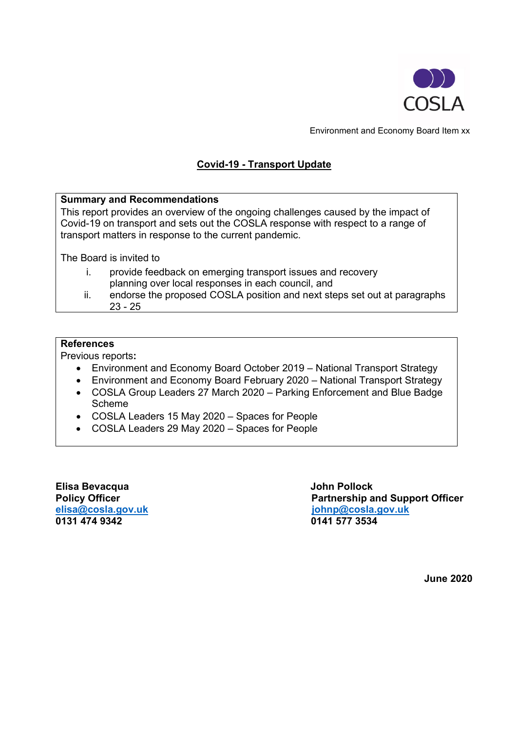

Environment and Economy Board Item xx

# **Covid-19 - Transport Update**

#### **Summary and Recommendations**

This report provides an overview of the ongoing challenges caused by the impact of Covid-19 on transport and sets out the COSLA response with respect to a range of transport matters in response to the current pandemic.

The Board is invited to

- i. provide feedback on emerging transport issues and recovery planning over local responses in each council, and
- ii. endorse the proposed COSLA position and next steps set out at paragraphs 23 - 25

#### **References**

Previous reports**:**

- Environment and Economy Board October 2019 National Transport Strategy
- Environment and Economy Board February 2020 National Transport Strategy
- COSLA Group Leaders 27 March 2020 Parking Enforcement and Blue Badge Scheme
- COSLA Leaders 15 May 2020 Spaces for People
- COSLA Leaders 29 May 2020 Spaces for People

**Elisa Bevacqua John Pollock**

**Partnership and Support Officer [elisa@cosla.gov.uk](mailto:elisa@cosla.gov.uk) [johnp@cosla.gov.uk](mailto:johnp@cosla.gov.uk)** 0141 577 3534

**June 2020**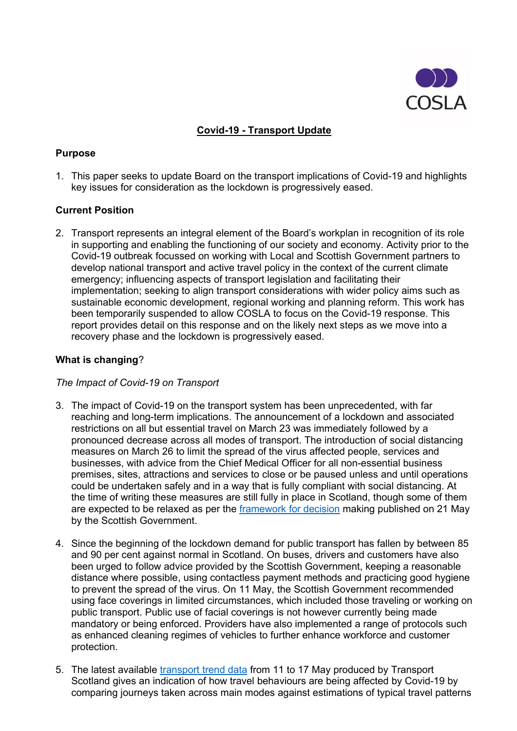

# **Covid-19 - Transport Update**

## **Purpose**

1. This paper seeks to update Board on the transport implications of Covid-19 and highlights key issues for consideration as the lockdown is progressively eased.

# **Current Position**

2. Transport represents an integral element of the Board's workplan in recognition of its role in supporting and enabling the functioning of our society and economy. Activity prior to the Covid-19 outbreak focussed on working with Local and Scottish Government partners to develop national transport and active travel policy in the context of the current climate emergency; influencing aspects of transport legislation and facilitating their implementation; seeking to align transport considerations with wider policy aims such as sustainable economic development, regional working and planning reform. This work has been temporarily suspended to allow COSLA to focus on the Covid-19 response. This report provides detail on this response and on the likely next steps as we move into a recovery phase and the lockdown is progressively eased.

### **What is changing**?

#### *The Impact of Covid-19 on Transport*

- 3. The impact of Covid-19 on the transport system has been unprecedented, with far reaching and long-term implications. The announcement of a lockdown and associated restrictions on all but essential travel on March 23 was immediately followed by a pronounced decrease across all modes of transport. The introduction of social distancing measures on March 26 to limit the spread of the virus affected people, services and businesses, with advice from the Chief Medical Officer for all non-essential business premises, sites, attractions and services to close or be paused unless and until operations could be undertaken safely and in a way that is fully compliant with social distancing. At the time of writing these measures are still fully in place in Scotland, though some of them are expected to be relaxed as per the [framework for decision](https://www.gov.scot/publications/coronavirus-covid-19-framework-decision-making-scotlands-route-map-through-out-crisis/) making published on 21 May by the Scottish Government.
- 4. Since the beginning of the lockdown demand for public transport has fallen by between 85 and 90 per cent against normal in Scotland. On buses, drivers and customers have also been urged to follow advice provided by the Scottish Government, keeping a reasonable distance where possible, using contactless payment methods and practicing good hygiene to prevent the spread of the virus. On 11 May, the Scottish Government recommended using face coverings in limited circumstances, which included those traveling or working on public transport. Public use of facial coverings is not however currently being made mandatory or being enforced. Providers have also implemented a range of protocols such as enhanced cleaning regimes of vehicles to further enhance workforce and customer protection.
- 5. The latest available [transport trend data](https://www.transport.gov.scot/publication/covid-19-transport-trend-data-11-17-may-2020/) from 11 to 17 May produced by Transport Scotland gives an indication of how travel behaviours are being affected by Covid-19 by comparing journeys taken across main modes against estimations of typical travel patterns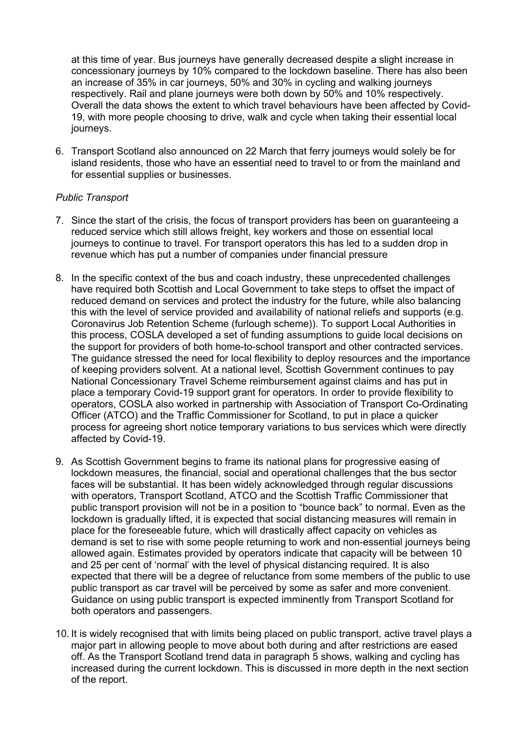at this time of year. Bus journeys have generally decreased despite a slight increase in concessionary journeys by 10% compared to the lockdown baseline. There has also been an increase of 35% in car journeys, 50% and 30% in cycling and walking journeys respectively. Rail and plane journeys were both down by 50% and 10% respectively. Overall the data shows the extent to which travel behaviours have been affected by Covid-19, with more people choosing to drive, walk and cycle when taking their essential local journeys.

6. Transport Scotland also announced on 22 March that ferry journeys would solely be for island residents, those who have an essential need to travel to or from the mainland and for essential supplies or businesses.

### *Public Transport*

- 7. Since the start of the crisis, the focus of transport providers has been on guaranteeing a reduced service which still allows freight, key workers and those on essential local journeys to continue to travel. For transport operators this has led to a sudden drop in revenue which has put a number of companies under financial pressure
- 8. In the specific context of the bus and coach industry, these unprecedented challenges have required both Scottish and Local Government to take steps to offset the impact of reduced demand on services and protect the industry for the future, while also balancing this with the level of service provided and availability of national reliefs and supports (e.g. Coronavirus Job Retention Scheme (furlough scheme)). To support Local Authorities in this process, COSLA developed a set of funding assumptions to guide local decisions on the support for providers of both home-to-school transport and other contracted services. The guidance stressed the need for local flexibility to deploy resources and the importance of keeping providers solvent. At a national level, Scottish Government continues to pay National Concessionary Travel Scheme reimbursement against claims and has put in place a temporary Covid-19 support grant for operators. In order to provide flexibility to operators, COSLA also worked in partnership with Association of Transport Co-Ordinating Officer (ATCO) and the Traffic Commissioner for Scotland, to put in place a quicker process for agreeing short notice temporary variations to bus services which were directly affected by Covid-19.
- 9. As Scottish Government begins to frame its national plans for progressive easing of lockdown measures, the financial, social and operational challenges that the bus sector faces will be substantial. It has been widely acknowledged through regular discussions with operators, Transport Scotland, ATCO and the Scottish Traffic Commissioner that public transport provision will not be in a position to "bounce back" to normal. Even as the lockdown is gradually lifted, it is expected that social distancing measures will remain in place for the foreseeable future, which will drastically affect capacity on vehicles as demand is set to rise with some people returning to work and non-essential journeys being allowed again. Estimates provided by operators indicate that capacity will be between 10 and 25 per cent of 'normal' with the level of physical distancing required. It is also expected that there will be a degree of reluctance from some members of the public to use public transport as car travel will be perceived by some as safer and more convenient. Guidance on using public transport is expected imminently from Transport Scotland for both operators and passengers.
- 10. It is widely recognised that with limits being placed on public transport, active travel plays a major part in allowing people to move about both during and after restrictions are eased off. As the Transport Scotland trend data in paragraph 5 shows, walking and cycling has increased during the current lockdown. This is discussed in more depth in the next section of the report.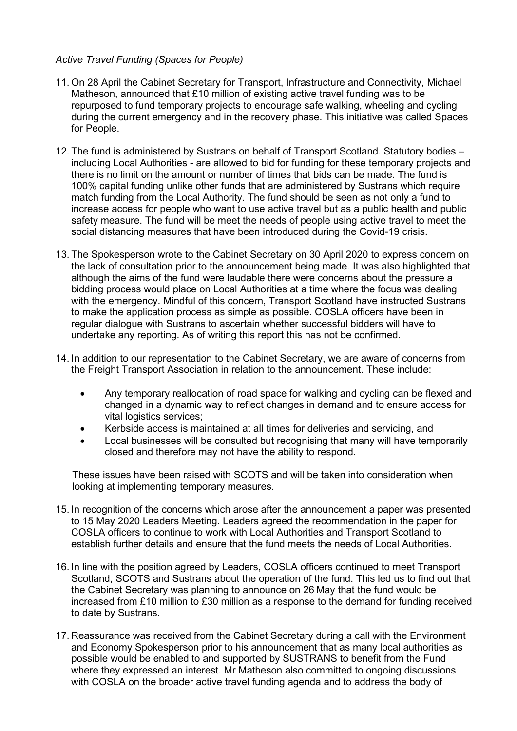## *Active Travel Funding (Spaces for People)*

- 11. On 28 April the Cabinet Secretary for Transport, Infrastructure and Connectivity, Michael Matheson, announced that £10 million of existing active travel funding was to be repurposed to fund temporary projects to encourage safe walking, wheeling and cycling during the current emergency and in the recovery phase. This initiative was called Spaces for People.
- 12. The fund is administered by Sustrans on behalf of Transport Scotland. Statutory bodies including Local Authorities - are allowed to bid for funding for these temporary projects and there is no limit on the amount or number of times that bids can be made. The fund is 100% capital funding unlike other funds that are administered by Sustrans which require match funding from the Local Authority. The fund should be seen as not only a fund to increase access for people who want to use active travel but as a public health and public safety measure. The fund will be meet the needs of people using active travel to meet the social distancing measures that have been introduced during the Covid-19 crisis.
- 13. The Spokesperson wrote to the Cabinet Secretary on 30 April 2020 to express concern on the lack of consultation prior to the announcement being made. It was also highlighted that although the aims of the fund were laudable there were concerns about the pressure a bidding process would place on Local Authorities at a time where the focus was dealing with the emergency. Mindful of this concern, Transport Scotland have instructed Sustrans to make the application process as simple as possible. COSLA officers have been in regular dialogue with Sustrans to ascertain whether successful bidders will have to undertake any reporting. As of writing this report this has not be confirmed.
- 14. In addition to our representation to the Cabinet Secretary, we are aware of concerns from the Freight Transport Association in relation to the announcement. These include:
	- Any temporary reallocation of road space for walking and cycling can be flexed and changed in a dynamic way to reflect changes in demand and to ensure access for vital logistics services;
	- Kerbside access is maintained at all times for deliveries and servicing, and
	- Local businesses will be consulted but recognising that many will have temporarily closed and therefore may not have the ability to respond.

These issues have been raised with SCOTS and will be taken into consideration when looking at implementing temporary measures.

- 15. In recognition of the concerns which arose after the announcement a paper was presented to 15 May 2020 Leaders Meeting. Leaders agreed the recommendation in the paper for COSLA officers to continue to work with Local Authorities and Transport Scotland to establish further details and ensure that the fund meets the needs of Local Authorities.
- 16. In line with the position agreed by Leaders, COSLA officers continued to meet Transport Scotland, SCOTS and Sustrans about the operation of the fund. This led us to find out that the Cabinet Secretary was planning to announce on 26 May that the fund would be increased from £10 million to £30 million as a response to the demand for funding received to date by Sustrans.
- 17. Reassurance was received from the Cabinet Secretary during a call with the Environment and Economy Spokesperson prior to his announcement that as many local authorities as possible would be enabled to and supported by SUSTRANS to benefit from the Fund where they expressed an interest. Mr Matheson also committed to ongoing discussions with COSLA on the broader active travel funding agenda and to address the body of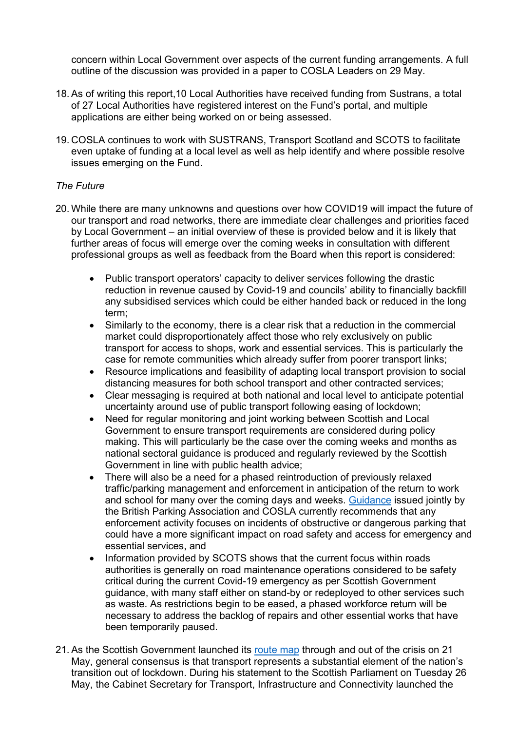concern within Local Government over aspects of the current funding arrangements. A full outline of the discussion was provided in a paper to COSLA Leaders on 29 May.

- 18. As of writing this report,10 Local Authorities have received funding from Sustrans, a total of 27 Local Authorities have registered interest on the Fund's portal, and multiple applications are either being worked on or being assessed.
- 19. COSLA continues to work with SUSTRANS, Transport Scotland and SCOTS to facilitate even uptake of funding at a local level as well as help identify and where possible resolve issues emerging on the Fund.

# *The Future*

- 20. While there are many unknowns and questions over how COVID19 will impact the future of our transport and road networks, there are immediate clear challenges and priorities faced by Local Government – an initial overview of these is provided below and it is likely that further areas of focus will emerge over the coming weeks in consultation with different professional groups as well as feedback from the Board when this report is considered:
	- Public transport operators' capacity to deliver services following the drastic reduction in revenue caused by Covid-19 and councils' ability to financially backfill any subsidised services which could be either handed back or reduced in the long term;
	- Similarly to the economy, there is a clear risk that a reduction in the commercial market could disproportionately affect those who rely exclusively on public transport for access to shops, work and essential services. This is particularly the case for remote communities which already suffer from poorer transport links;
	- Resource implications and feasibility of adapting local transport provision to social distancing measures for both school transport and other contracted services;
	- Clear messaging is required at both national and local level to anticipate potential uncertainty around use of public transport following easing of lockdown;
	- Need for regular monitoring and joint working between Scottish and Local Government to ensure transport requirements are considered during policy making. This will particularly be the case over the coming weeks and months as national sectoral guidance is produced and regularly reviewed by the Scottish Government in line with public health advice;
	- There will also be a need for a phased reintroduction of previously relaxed traffic/parking management and enforcement in anticipation of the return to work and school for many over the coming days and weeks. [Guidance](https://www.britishparking.co.uk/write/Documents/COVID-19/Local_Authority_Parking_Operational_Advice_during_Covid_19_-_Scotland_V3_28_April_2020.pdf) issued jointly by the British Parking Association and COSLA currently recommends that any enforcement activity focuses on incidents of obstructive or dangerous parking that could have a more significant impact on road safety and access for emergency and essential services, and
	- Information provided by SCOTS shows that the current focus within roads authorities is generally on road maintenance operations considered to be safety critical during the current Covid-19 emergency as per Scottish Government guidance, with many staff either on stand-by or redeployed to other services such as waste. As restrictions begin to be eased, a phased workforce return will be necessary to address the backlog of repairs and other essential works that have been temporarily paused.
- 21. As the Scottish Government launched its [route map](https://www.gov.scot/binaries/content/documents/govscot/publications/strategy-plan/2020/05/coronavirus-covid-19-framework-decision-making-scotlands-route-map-through-out-crisis/documents/covid-19-framework-decision-making-scotlands-route-map-through-out-crisis/covid-19-framework-decision-making-scotlands-route-map-through-out-crisis/govscot%3Adocument/covid-19-framework-decision-making-scotlands-route-map-through-out-crisis.pdf) through and out of the crisis on 21 May, general consensus is that transport represents a substantial element of the nation's transition out of lockdown. During his statement to the Scottish Parliament on Tuesday 26 May, the Cabinet Secretary for Transport, Infrastructure and Connectivity launched the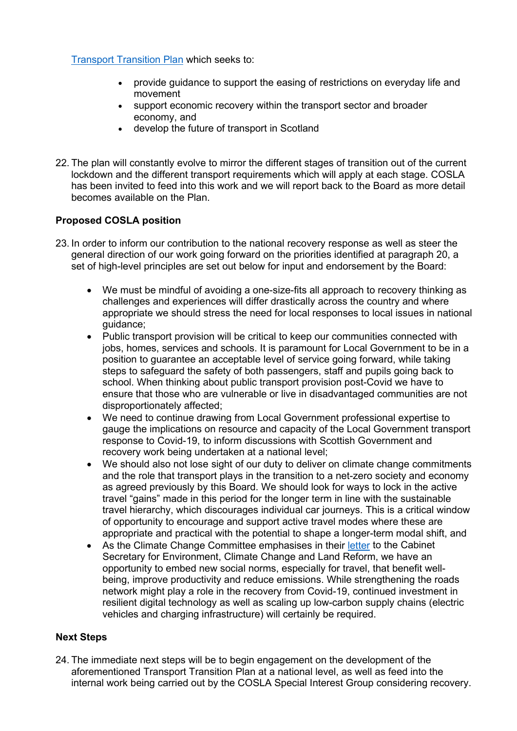[Transport Transition Plan](https://www.transport.gov.scot/coronavirus-covid-19/transport-transition-plan/) which seeks to:

- provide guidance to support the easing of restrictions on everyday life and movement
- support economic recovery within the transport sector and broader economy, and
- develop the future of transport in Scotland
- 22. The plan will constantly evolve to mirror the different stages of transition out of the current lockdown and the different transport requirements which will apply at each stage. COSLA has been invited to feed into this work and we will report back to the Board as more detail becomes available on the Plan.

# **Proposed COSLA position**

- 23. In order to inform our contribution to the national recovery response as well as steer the general direction of our work going forward on the priorities identified at paragraph 20, a set of high-level principles are set out below for input and endorsement by the Board:
	- We must be mindful of avoiding a one-size-fits all approach to recovery thinking as challenges and experiences will differ drastically across the country and where appropriate we should stress the need for local responses to local issues in national guidance;
	- Public transport provision will be critical to keep our communities connected with jobs, homes, services and schools. It is paramount for Local Government to be in a position to guarantee an acceptable level of service going forward, while taking steps to safeguard the safety of both passengers, staff and pupils going back to school. When thinking about public transport provision post-Covid we have to ensure that those who are vulnerable or live in disadvantaged communities are not disproportionately affected;
	- We need to continue drawing from Local Government professional expertise to gauge the implications on resource and capacity of the Local Government transport response to Covid-19, to inform discussions with Scottish Government and recovery work being undertaken at a national level;
	- We should also not lose sight of our duty to deliver on climate change commitments and the role that transport plays in the transition to a net-zero society and economy as agreed previously by this Board. We should look for ways to lock in the active travel "gains" made in this period for the longer term in line with the sustainable travel hierarchy, which discourages individual car journeys. This is a critical window of opportunity to encourage and support active travel modes where these are appropriate and practical with the potential to shape a longer-term modal shift, and
	- As the Climate Change Committee emphasises in their [letter](https://www.theccc.org.uk/publication/letter-building-a-resilient-recovery-from-the-covid-19-crisis-to-roseanna-cunningham-msp/) to the Cabinet Secretary for Environment, Climate Change and Land Reform, we have an opportunity to embed new social norms, especially for travel, that benefit wellbeing, improve productivity and reduce emissions. While strengthening the roads network might play a role in the recovery from Covid-19, continued investment in resilient digital technology as well as scaling up low-carbon supply chains (electric vehicles and charging infrastructure) will certainly be required.

# **Next Steps**

24. The immediate next steps will be to begin engagement on the development of the aforementioned Transport Transition Plan at a national level, as well as feed into the internal work being carried out by the COSLA Special Interest Group considering recovery.